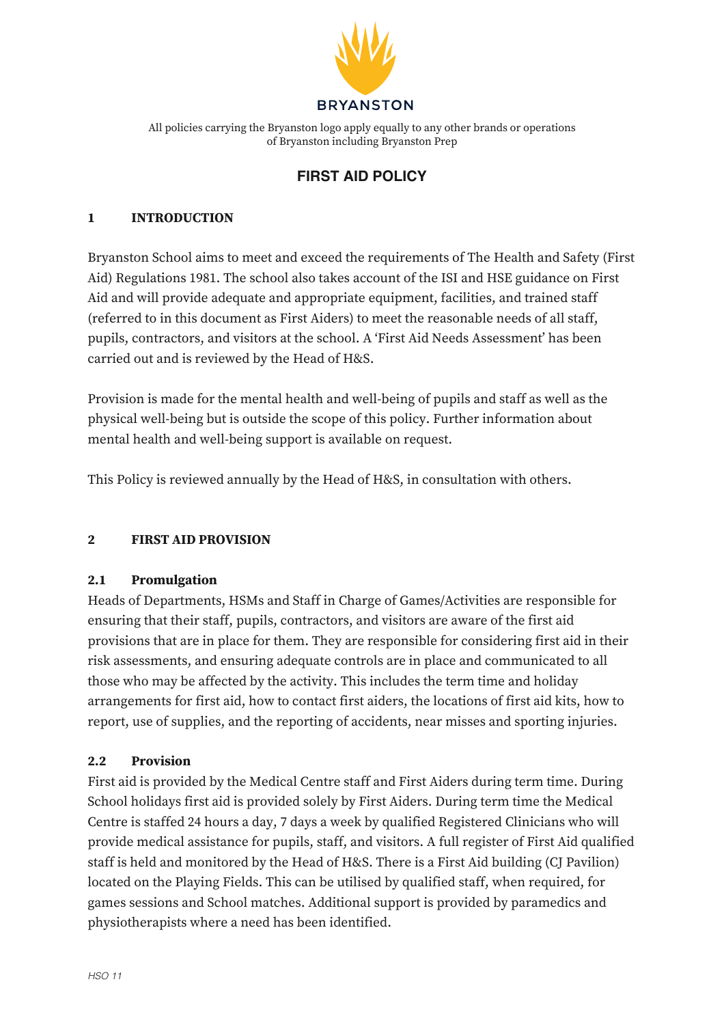

n logo apply equally to of Bryanston including Bryanston Prep All policies carrying the Bryanston logo apply equally to any other brands or operations

#### Dorset **FIRST AID POLICY**

#### **1 INTRODUCTION**

Bryanston School aims to meet and exceed the requirements of The Health and Safety (First Aid) Regulations 1981. The school also takes account of the ISI and HSE guidance on First Aid and will provide adequate and appropriate equipment, facilities, and trained staff (referred to in this document as First Aiders) to meet the reasonable needs of all staff, pupils, contractors, and visitors at the school. A 'First Aid Needs Assessment' has been carried out and is reviewed by the Head of H&S.

Provision is made for the mental health and well-being of pupils and staff as well as the physical well-being but is outside the scope of this policy. Further information about mental health and well-being support is available on request.

This Policy is reviewed annually by the Head of H&S, in consultation with others.

#### **2 FIRST AID PROVISION**

#### **2.1 Promulgation**

Heads of Departments, HSMs and Staff in Charge of Games/Activities are responsible for ensuring that their staff, pupils, contractors, and visitors are aware of the first aid provisions that are in place for them. They are responsible for considering first aid in their risk assessments, and ensuring adequate controls are in place and communicated to all those who may be affected by the activity. This includes the term time and holiday arrangements for first aid, how to contact first aiders, the locations of first aid kits, how to report, use of supplies, and the reporting of accidents, near misses and sporting injuries.

#### **2.2 Provision**

First aid is provided by the Medical Centre staff and First Aiders during term time. During School holidays first aid is provided solely by First Aiders. During term time the Medical Centre is staffed 24 hours a day, 7 days a week by qualified Registered Clinicians who will provide medical assistance for pupils, staff, and visitors. A full register of First Aid qualified staff is held and monitored by the Head of H&S. There is a First Aid building (CJ Pavilion) located on the Playing Fields. This can be utilised by qualified staff, when required, for games sessions and School matches. Additional support is provided by paramedics and physiotherapists where a need has been identified.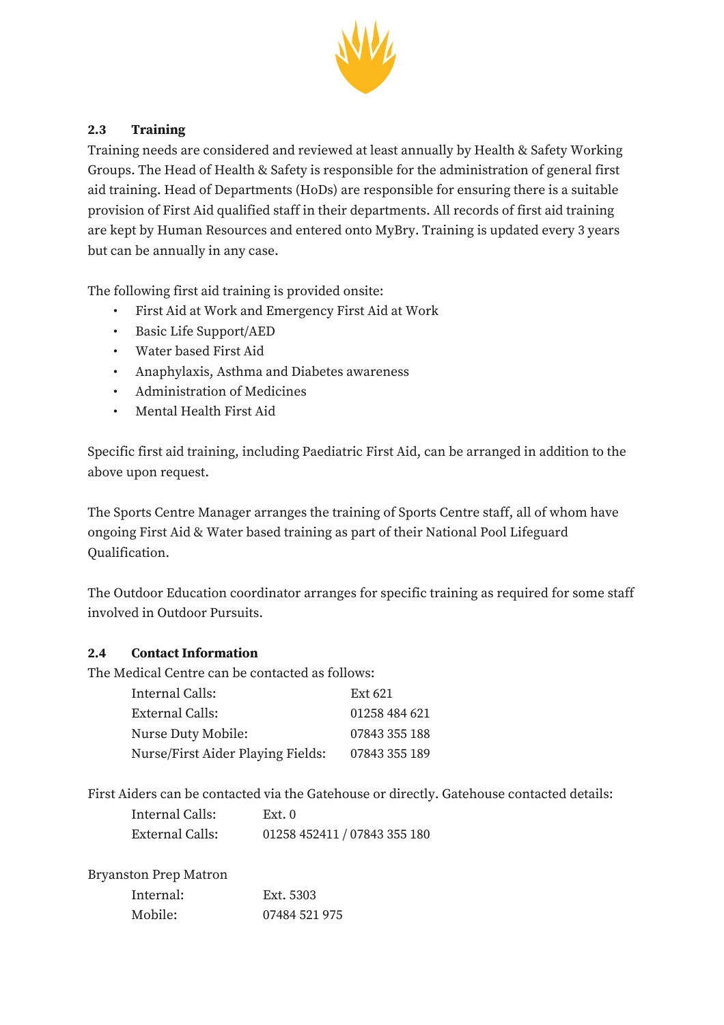

## **2.3 Training**

Training needs are considered and reviewed at least annually by Health & Safety Working Groups. The Head of Health & Safety is responsible for the administration of general first aid training. Head of Departments (HoDs) are responsible for ensuring there is a suitable provision of First Aid qualified staff in their departments. All records of first aid training are kept by Human Resources and entered onto MyBry. Training is updated every 3 years but can be annually in any case.

The following first aid training is provided onsite:

- First Aid at Work and Emergency First Aid at Work
- Basic Life Support/AED
- Water based First Aid
- Anaphylaxis, Asthma and Diabetes awareness
- Administration of Medicines
- Mental Health First Aid

Specific first aid training, including Paediatric First Aid, can be arranged in addition to the above upon request.

The Sports Centre Manager arranges the training of Sports Centre staff, all of whom have ongoing First Aid & Water based training as part of their National Pool Lifeguard Qualification.

The Outdoor Education coordinator arranges for specific training as required for some staff involved in Outdoor Pursuits.

#### **2.4 Contact Information**

The Medical Centre can be contacted as follows:

| Internal Calls:                   | Ext 621       |
|-----------------------------------|---------------|
| External Calls:                   | 01258 484 621 |
| Nurse Duty Mobile:                | 07843 355 188 |
| Nurse/First Aider Playing Fields: | 07843 355 189 |

First Aiders can be contacted via the Gatehouse or directly. Gatehouse contacted details:

| Internal Calls: | Ext. 0                       |
|-----------------|------------------------------|
| External Calls: | 01258 452411 / 07843 355 180 |

Bryanston Prep Matron

| Internal: | Ext. 5303     |
|-----------|---------------|
| Mobile:   | 07484 521 975 |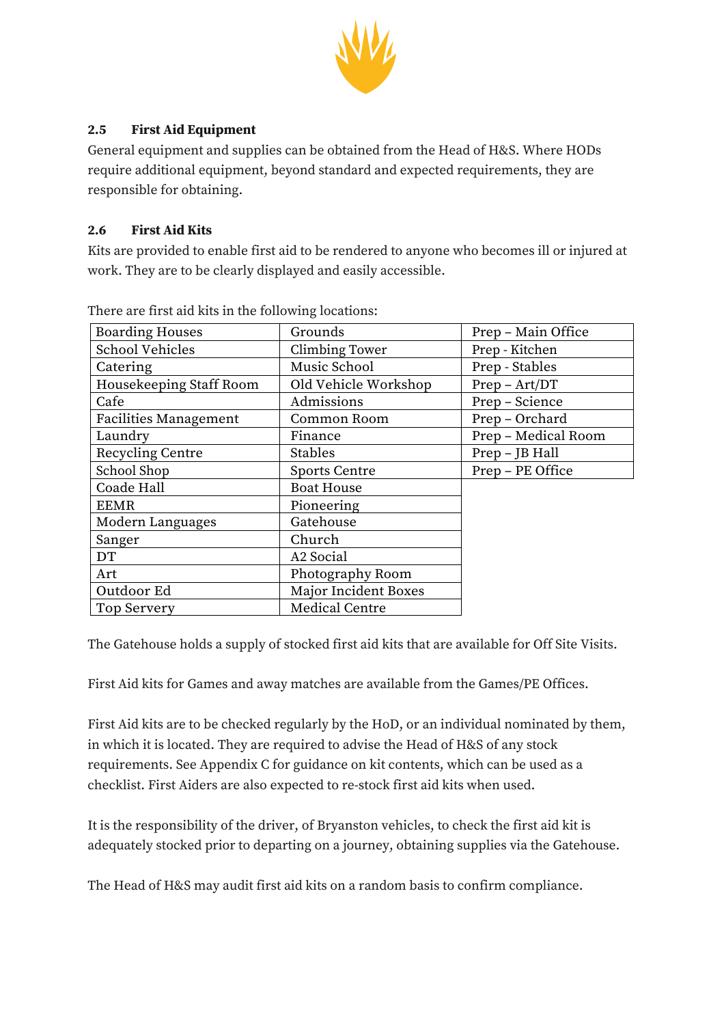

## **2.5 First Aid Equipment**

General equipment and supplies can be obtained from the Head of H&S. Where HODs require additional equipment, beyond standard and expected requirements, they are responsible for obtaining.

### **2.6 First Aid Kits**

Kits are provided to enable first aid to be rendered to anyone who becomes ill or injured at work. They are to be clearly displayed and easily accessible.

| <b>Boarding Houses</b>       | Grounds               | Prep - Main Office  |  |
|------------------------------|-----------------------|---------------------|--|
| School Vehicles              | Climbing Tower        | Prep - Kitchen      |  |
| Catering                     | Music School          | Prep - Stables      |  |
| Housekeeping Staff Room      | Old Vehicle Workshop  | $Prep - Art/DT$     |  |
| Cafe                         | Admissions            | Prep - Science      |  |
| <b>Facilities Management</b> | Common Room           | Prep - Orchard      |  |
| Laundry                      | Finance               | Prep - Medical Room |  |
| Recycling Centre             | <b>Stables</b>        | Prep - JB Hall      |  |
| School Shop                  | <b>Sports Centre</b>  | Prep - PE Office    |  |
| Coade Hall                   | <b>Boat House</b>     |                     |  |
| <b>EEMR</b>                  | Pioneering            |                     |  |
| Modern Languages             | Gatehouse             |                     |  |
| Sanger                       | Church                |                     |  |
| DT                           | A <sub>2</sub> Social |                     |  |
| Art                          | Photography Room      |                     |  |
| Outdoor Ed                   | Major Incident Boxes  |                     |  |
| Top Servery                  | Medical Centre        |                     |  |

There are first aid kits in the following locations:

The Gatehouse holds a supply of stocked first aid kits that are available for Off Site Visits.

First Aid kits for Games and away matches are available from the Games/PE Offices.

First Aid kits are to be checked regularly by the HoD, or an individual nominated by them, in which it is located. They are required to advise the Head of H&S of any stock requirements. See Appendix C for guidance on kit contents, which can be used as a checklist. First Aiders are also expected to re-stock first aid kits when used.

It is the responsibility of the driver, of Bryanston vehicles, to check the first aid kit is adequately stocked prior to departing on a journey, obtaining supplies via the Gatehouse.

The Head of H&S may audit first aid kits on a random basis to confirm compliance.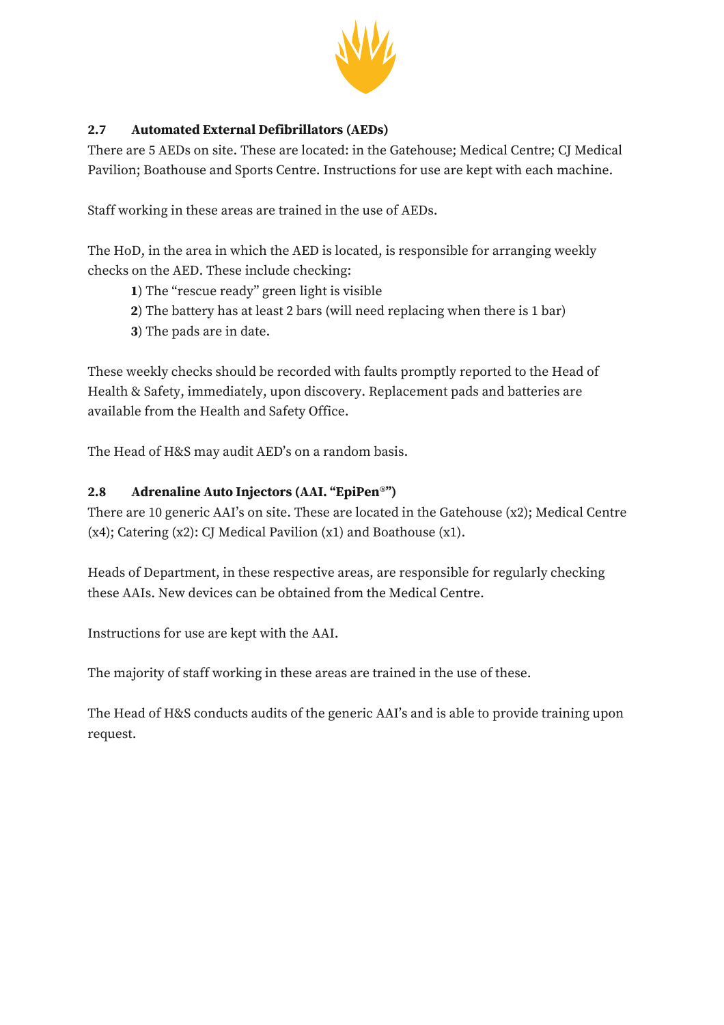

# **2.7 Automated External Defibrillators (AEDs)**

There are 5 AEDs on site. These are located: in the Gatehouse; Medical Centre; CJ Medical Pavilion; Boathouse and Sports Centre. Instructions for use are kept with each machine.

Staff working in these areas are trained in the use of AEDs.

The HoD, in the area in which the AED is located, is responsible for arranging weekly checks on the AED. These include checking:

- **1**) The "rescue ready" green light is visible
- **2**) The battery has at least 2 bars (will need replacing when there is 1 bar)
- **3**) The pads are in date.

These weekly checks should be recorded with faults promptly reported to the Head of Health & Safety, immediately, upon discovery. Replacement pads and batteries are available from the Health and Safety Office.

The Head of H&S may audit AED's on a random basis.

# **2.8 Adrenaline Auto Injectors (AAI. "EpiPen**®**")**

There are 10 generic AAI's on site. These are located in the Gatehouse (x2); Medical Centre  $(x4)$ ; Catering  $(x2)$ : CJ Medical Pavilion  $(x1)$  and Boathouse  $(x1)$ .

Heads of Department, in these respective areas, are responsible for regularly checking these AAIs. New devices can be obtained from the Medical Centre.

Instructions for use are kept with the AAI.

The majority of staff working in these areas are trained in the use of these.

The Head of H&S conducts audits of the generic AAI's and is able to provide training upon request.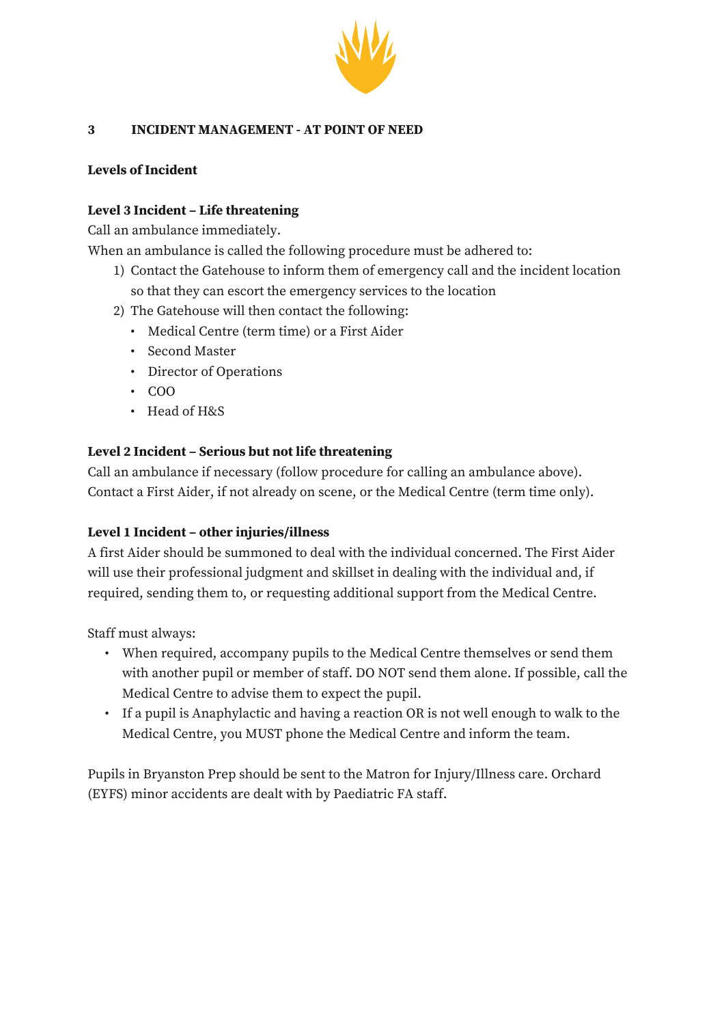

#### **3 INCIDENT MANAGEMENT - AT POINT OF NEED**

### **Levels of Incident**

#### **Level 3 Incident – Life threatening**

Call an ambulance immediately.

When an ambulance is called the following procedure must be adhered to:

- 1) Contact the Gatehouse to inform them of emergency call and the incident location so that they can escort the emergency services to the location
- 2) The Gatehouse will then contact the following:
	- Medical Centre (term time) or a First Aider
	- Second Master
	- Director of Operations
	- COO
	- Head of H&S

#### **Level 2 Incident – Serious but not life threatening**

Call an ambulance if necessary (follow procedure for calling an ambulance above). Contact a First Aider, if not already on scene, or the Medical Centre (term time only).

#### **Level 1 Incident – other injuries/illness**

A first Aider should be summoned to deal with the individual concerned. The First Aider will use their professional judgment and skillset in dealing with the individual and, if required, sending them to, or requesting additional support from the Medical Centre.

Staff must always:

- When required, accompany pupils to the Medical Centre themselves or send them with another pupil or member of staff. DO NOT send them alone. If possible, call the Medical Centre to advise them to expect the pupil.
- If a pupil is Anaphylactic and having a reaction OR is not well enough to walk to the Medical Centre, you MUST phone the Medical Centre and inform the team.

Pupils in Bryanston Prep should be sent to the Matron for Injury/Illness care. Orchard (EYFS) minor accidents are dealt with by Paediatric FA staff.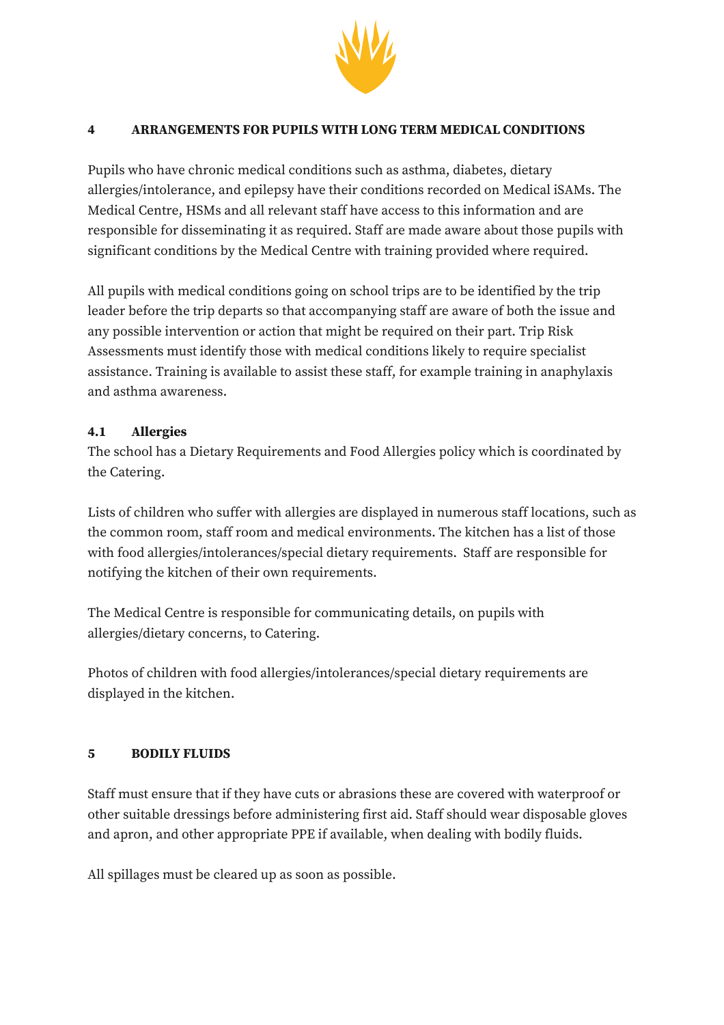

#### **4 ARRANGEMENTS FOR PUPILS WITH LONG TERM MEDICAL CONDITIONS**

Pupils who have chronic medical conditions such as asthma, diabetes, dietary allergies/intolerance, and epilepsy have their conditions recorded on Medical iSAMs. The Medical Centre, HSMs and all relevant staff have access to this information and are responsible for disseminating it as required. Staff are made aware about those pupils with significant conditions by the Medical Centre with training provided where required.

All pupils with medical conditions going on school trips are to be identified by the trip leader before the trip departs so that accompanying staff are aware of both the issue and any possible intervention or action that might be required on their part. Trip Risk Assessments must identify those with medical conditions likely to require specialist assistance. Training is available to assist these staff, for example training in anaphylaxis and asthma awareness.

### **4.1 Allergies**

The school has a Dietary Requirements and Food Allergies policy which is coordinated by the Catering.

Lists of children who suffer with allergies are displayed in numerous staff locations, such as the common room, staff room and medical environments. The kitchen has a list of those with food allergies/intolerances/special dietary requirements. Staff are responsible for notifying the kitchen of their own requirements.

The Medical Centre is responsible for communicating details, on pupils with allergies/dietary concerns, to Catering.

Photos of children with food allergies/intolerances/special dietary requirements are displayed in the kitchen.

#### **5 BODILY FLUIDS**

Staff must ensure that if they have cuts or abrasions these are covered with waterproof or other suitable dressings before administering first aid. Staff should wear disposable gloves and apron, and other appropriate PPE if available, when dealing with bodily fluids.

All spillages must be cleared up as soon as possible.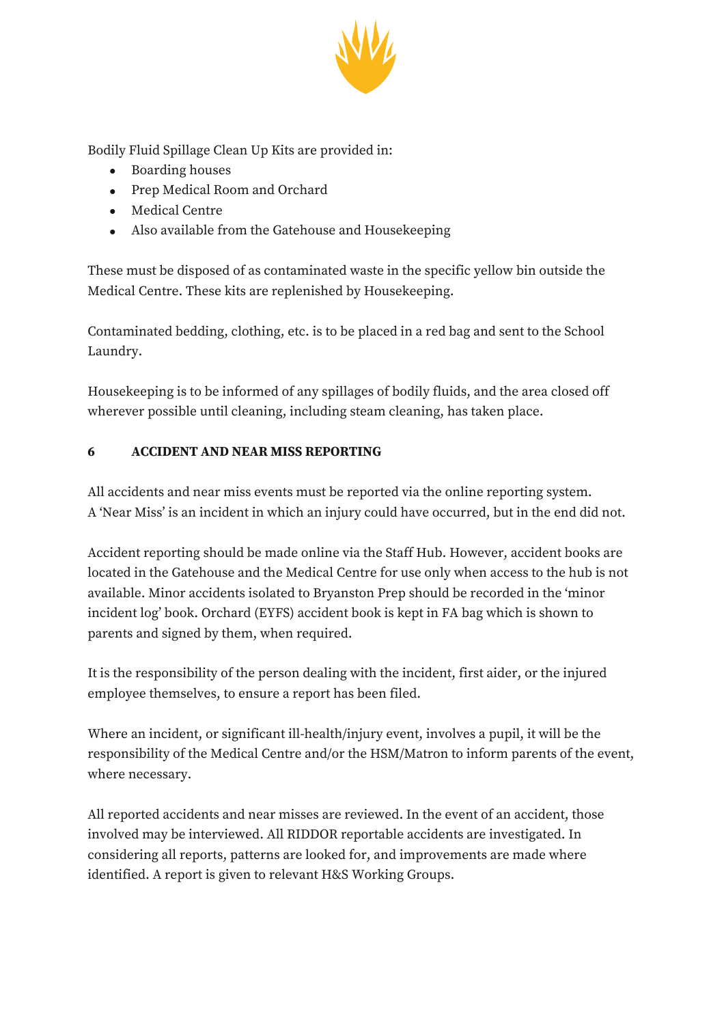

Bodily Fluid Spillage Clean Up Kits are provided in:

- Boarding houses
- Prep Medical Room and Orchard
- Medical Centre
- Also available from the Gatehouse and Housekeeping

These must be disposed of as contaminated waste in the specific yellow bin outside the Medical Centre. These kits are replenished by Housekeeping.

Contaminated bedding, clothing, etc. is to be placed in a red bag and sent to the School Laundry.

Housekeeping is to be informed of any spillages of bodily fluids, and the area closed off wherever possible until cleaning, including steam cleaning, has taken place.

# **6 ACCIDENT AND NEAR MISS REPORTING**

All accidents and near miss events must be reported via the online reporting system. A 'Near Miss' is an incident in which an injury could have occurred, but in the end did not.

Accident reporting should be made online via the Staff Hub. However, accident books are located in the Gatehouse and the Medical Centre for use only when access to the hub is not available. Minor accidents isolated to Bryanston Prep should be recorded in the 'minor incident log' book. Orchard (EYFS) accident book is kept in FA bag which is shown to parents and signed by them, when required.

It is the responsibility of the person dealing with the incident, first aider, or the injured employee themselves, to ensure a report has been filed.

Where an incident, or significant ill-health/injury event, involves a pupil, it will be the responsibility of the Medical Centre and/or the HSM/Matron to inform parents of the event, where necessary.

All reported accidents and near misses are reviewed. In the event of an accident, those involved may be interviewed. All RIDDOR reportable accidents are investigated. In considering all reports, patterns are looked for, and improvements are made where identified. A report is given to relevant H&S Working Groups.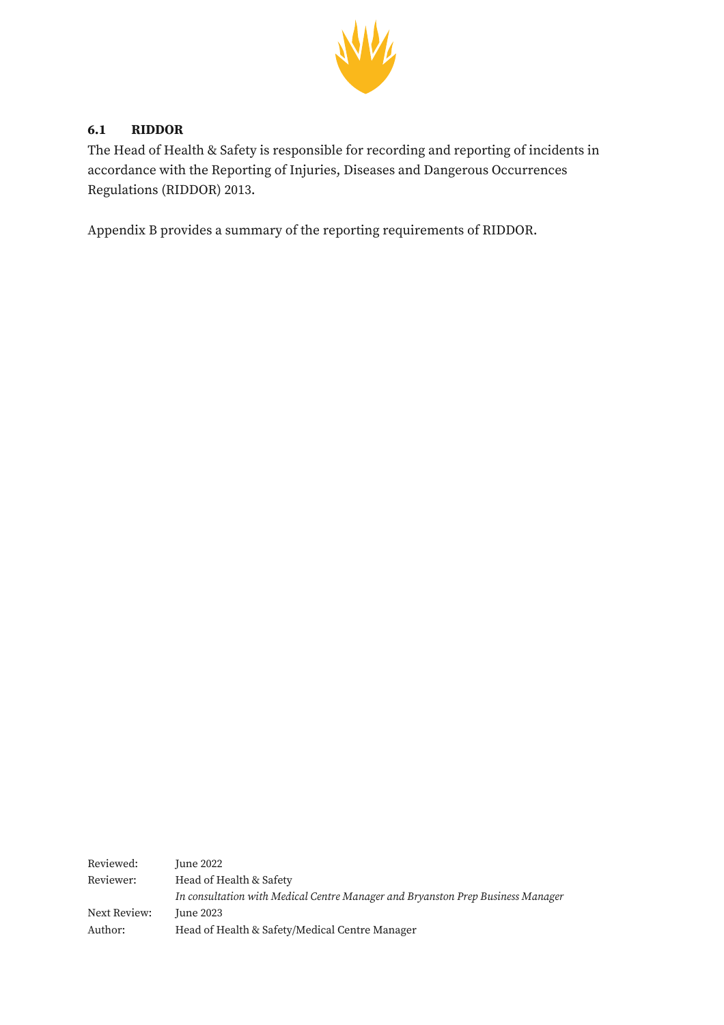

### **6.1 RIDDOR**

The Head of Health & Safety is responsible for recording and reporting of incidents in accordance with the Reporting of Injuries, Diseases and Dangerous Occurrences Regulations (RIDDOR) 2013.

Appendix B provides a summary of the reporting requirements of RIDDOR.

| Reviewed:    | June 2022                                                                       |
|--------------|---------------------------------------------------------------------------------|
| Reviewer:    | Head of Health & Safety                                                         |
|              | In consultation with Medical Centre Manager and Bryanston Prep Business Manager |
| Next Review: | June 2023                                                                       |
| Author:      | Head of Health & Safety/Medical Centre Manager                                  |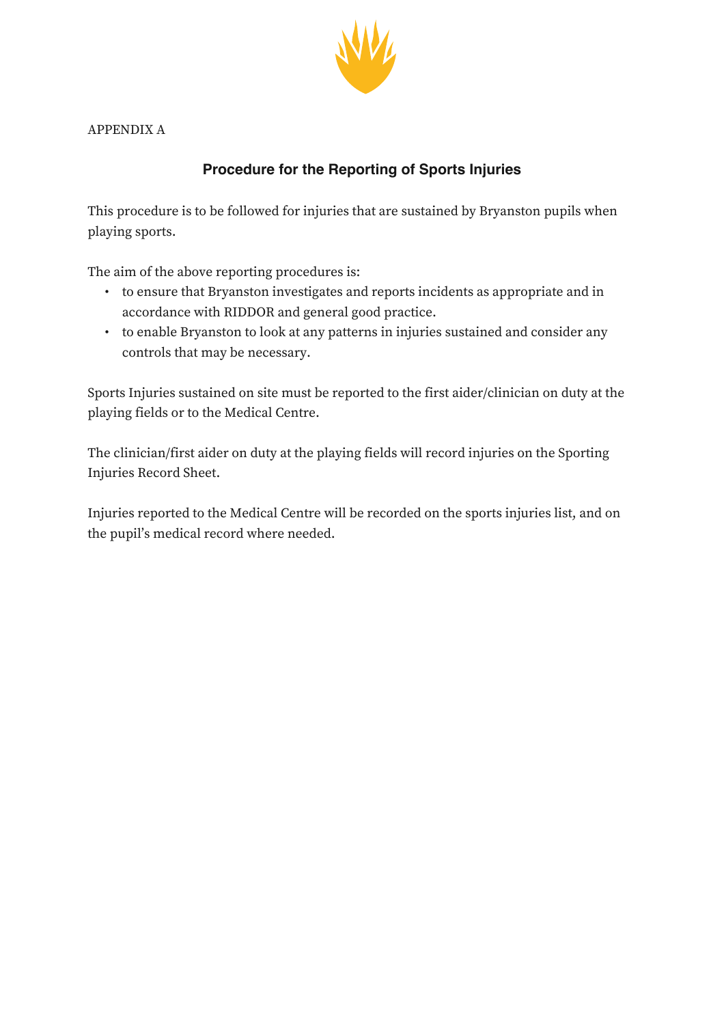

APPENDIX A

# **Procedure for the Reporting of Sports Injuries**

This procedure is to be followed for injuries that are sustained by Bryanston pupils when playing sports.

The aim of the above reporting procedures is:

- to ensure that Bryanston investigates and reports incidents as appropriate and in accordance with RIDDOR and general good practice.
- to enable Bryanston to look at any patterns in injuries sustained and consider any controls that may be necessary.

Sports Injuries sustained on site must be reported to the first aider/clinician on duty at the playing fields or to the Medical Centre.

The clinician/first aider on duty at the playing fields will record injuries on the Sporting Injuries Record Sheet.

Injuries reported to the Medical Centre will be recorded on the sports injuries list, and on the pupil's medical record where needed.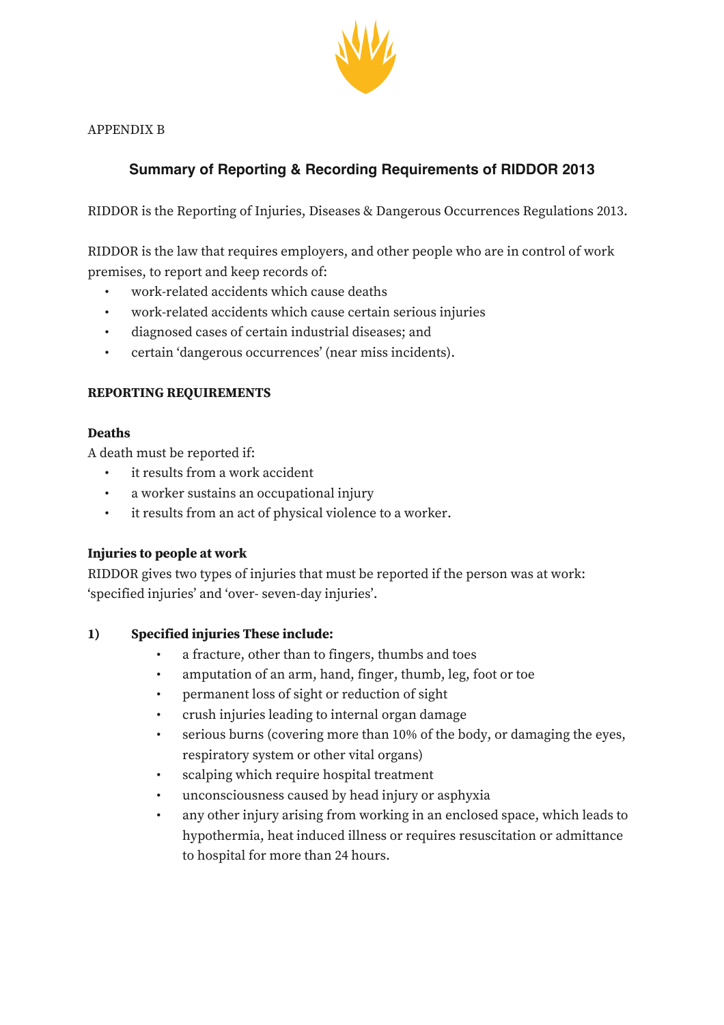

APPENDIX B

# **Summary of Reporting & Recording Requirements of RIDDOR 2013**

RIDDOR is the Reporting of Injuries, Diseases & Dangerous Occurrences Regulations 2013.

RIDDOR is the law that requires employers, and other people who are in control of work premises, to report and keep records of:

- work-related accidents which cause deaths
- work-related accidents which cause certain serious injuries
- diagnosed cases of certain industrial diseases; and
- certain 'dangerous occurrences' (near miss incidents).

#### **REPORTING REQUIREMENTS**

#### **Deaths**

A death must be reported if:

- it results from a work accident
- a worker sustains an occupational injury
- it results from an act of physical violence to a worker.

#### **Injuries to people at work**

RIDDOR gives two types of injuries that must be reported if the person was at work: 'specified injuries' and 'over- seven-day injuries'.

#### **1) Specified injuries These include:**

- a fracture, other than to fingers, thumbs and toes
- amputation of an arm, hand, finger, thumb, leg, foot or toe
- permanent loss of sight or reduction of sight
- crush injuries leading to internal organ damage
- serious burns (covering more than 10% of the body, or damaging the eyes, respiratory system or other vital organs)
- scalping which require hospital treatment
- unconsciousness caused by head injury or asphyxia
- any other injury arising from working in an enclosed space, which leads to hypothermia, heat induced illness or requires resuscitation or admittance to hospital for more than 24 hours.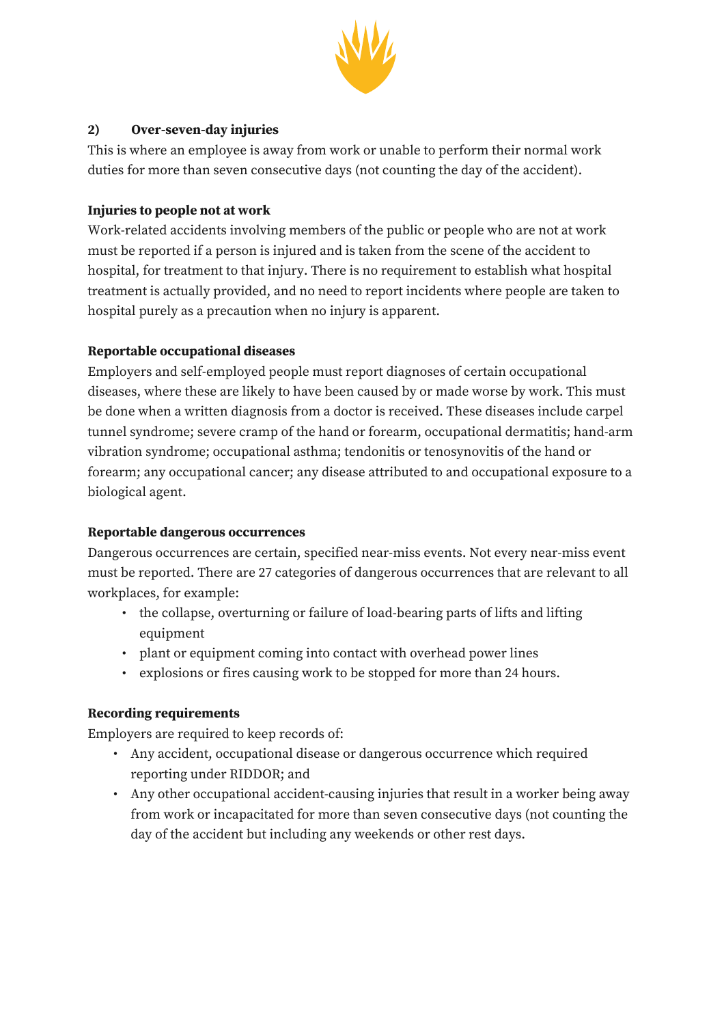

### **2) Over-seven-day injuries**

This is where an employee is away from work or unable to perform their normal work duties for more than seven consecutive days (not counting the day of the accident).

#### **Injuries to people not at work**

Work-related accidents involving members of the public or people who are not at work must be reported if a person is injured and is taken from the scene of the accident to hospital, for treatment to that injury. There is no requirement to establish what hospital treatment is actually provided, and no need to report incidents where people are taken to hospital purely as a precaution when no injury is apparent.

### **Reportable occupational diseases**

Employers and self-employed people must report diagnoses of certain occupational diseases, where these are likely to have been caused by or made worse by work. This must be done when a written diagnosis from a doctor is received. These diseases include carpel tunnel syndrome; severe cramp of the hand or forearm, occupational dermatitis; hand-arm vibration syndrome; occupational asthma; tendonitis or tenosynovitis of the hand or forearm; any occupational cancer; any disease attributed to and occupational exposure to a biological agent.

#### **Reportable dangerous occurrences**

Dangerous occurrences are certain, specified near-miss events. Not every near-miss event must be reported. There are 27 categories of dangerous occurrences that are relevant to all workplaces, for example:

- the collapse, overturning or failure of load-bearing parts of lifts and lifting equipment
- plant or equipment coming into contact with overhead power lines
- explosions or fires causing work to be stopped for more than 24 hours.

#### **Recording requirements**

Employers are required to keep records of:

- Any accident, occupational disease or dangerous occurrence which required reporting under RIDDOR; and
- Any other occupational accident-causing injuries that result in a worker being away from work or incapacitated for more than seven consecutive days (not counting the day of the accident but including any weekends or other rest days.